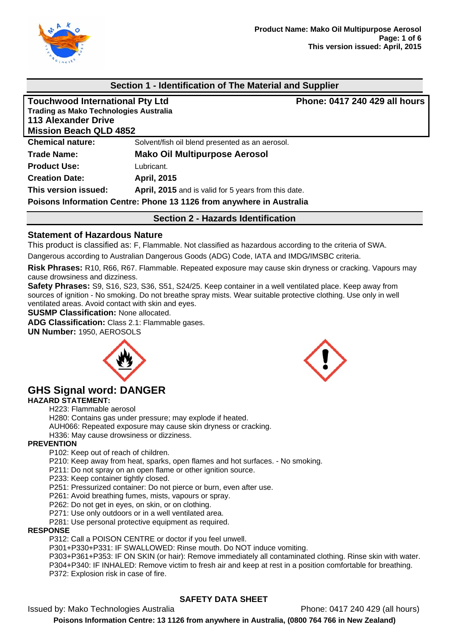

### **Section 1 - Identification of The Material and Supplier**

| Phone: 0417 240 429 all hours<br><b>Touchwood International Pty Ltd</b><br>Trading as Mako Technologies Australia<br><b>113 Alexander Drive</b> |                                                                      |  |
|-------------------------------------------------------------------------------------------------------------------------------------------------|----------------------------------------------------------------------|--|
| <b>Mission Beach QLD 4852</b>                                                                                                                   |                                                                      |  |
| <b>Chemical nature:</b>                                                                                                                         | Solvent/fish oil blend presented as an aerosol.                      |  |
| <b>Trade Name:</b>                                                                                                                              | <b>Mako Oil Multipurpose Aerosol</b>                                 |  |
| <b>Product Use:</b>                                                                                                                             | Lubricant.                                                           |  |
| <b>Creation Date:</b>                                                                                                                           | <b>April, 2015</b>                                                   |  |
| This version issued:                                                                                                                            | April, 2015 and is valid for 5 years from this date.                 |  |
|                                                                                                                                                 | Poisons Information Centre: Phone 13 1126 from anywhere in Australia |  |
|                                                                                                                                                 | <b>Section 2 - Hazards Identification</b>                            |  |

#### **Statement of Hazardous Nature**

This product is classified as: F, Flammable. Not classified as hazardous according to the criteria of SWA.

Dangerous according to Australian Dangerous Goods (ADG) Code, IATA and IMDG/IMSBC criteria.

**Risk Phrases:** R10, R66, R67. Flammable. Repeated exposure may cause skin dryness or cracking. Vapours may cause drowsiness and dizziness.

**Safety Phrases:** S9, S16, S23, S36, S51, S24/25. Keep container in a well ventilated place. Keep away from sources of ignition - No smoking. Do not breathe spray mists. Wear suitable protective clothing. Use only in well ventilated areas. Avoid contact with skin and eyes.

**SUSMP Classification:** None allocated.

**ADG Classification:** Class 2.1: Flammable gases.

**UN Number:** 1950, AEROSOLS



# **GHS Signal word: DANGER**

### **HAZARD STATEMENT:**

H223: Flammable aerosol

H280: Contains gas under pressure; may explode if heated.

AUH066: Repeated exposure may cause skin dryness or cracking.

H336: May cause drowsiness or dizziness.

#### **PREVENTION**

P102: Keep out of reach of children.

P210: Keep away from heat, sparks, open flames and hot surfaces. - No smoking.

P211: Do not spray on an open flame or other ignition source.

P233: Keep container tightly closed.

P251: Pressurized container: Do not pierce or burn, even after use.

P261: Avoid breathing fumes, mists, vapours or spray.

P262: Do not get in eyes, on skin, or on clothing.

P271: Use only outdoors or in a well ventilated area.

P281: Use personal protective equipment as required.

#### **RESPONSE**

P312: Call a POISON CENTRE or doctor if you feel unwell.

P301+P330+P331: IF SWALLOWED: Rinse mouth. Do NOT induce vomiting.

P303+P361+P353: IF ON SKIN (or hair): Remove immediately all contaminated clothing. Rinse skin with water. P304+P340: IF INHALED: Remove victim to fresh air and keep at rest in a position comfortable for breathing. P372: Explosion risk in case of fire.

### **SAFETY DATA SHEET**

Issued by: Mako Technologies Australia Phone: 0417 240 429 (all hours)



**Poisons Information Centre: 13 1126 from anywhere in Australia, (0800 764 766 in New Zealand)**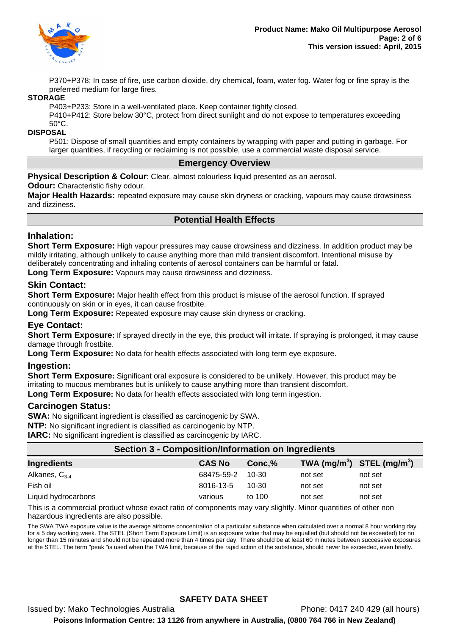

P370+P378: In case of fire, use carbon dioxide, dry chemical, foam, water fog. Water fog or fine spray is the preferred medium for large fires.

#### **STORAGE**

P403+P233: Store in a well-ventilated place. Keep container tightly closed.

P410+P412: Store below 30°C, protect from direct sunlight and do not expose to temperatures exceeding 50°C.

#### **DISPOSAL**

P501: Dispose of small quantities and empty containers by wrapping with paper and putting in garbage. For larger quantities, if recycling or reclaiming is not possible, use a commercial waste disposal service.

#### **Emergency Overview**

**Physical Description & Colour**: Clear, almost colourless liquid presented as an aerosol.

**Odour:** Characteristic fishy odour.

**Major Health Hazards:** repeated exposure may cause skin dryness or cracking, vapours may cause drowsiness and dizziness.

### **Potential Health Effects**

#### **Inhalation:**

**Short Term Exposure:** High vapour pressures may cause drowsiness and dizziness. In addition product may be mildly irritating, although unlikely to cause anything more than mild transient discomfort. Intentional misuse by deliberately concentrating and inhaling contents of aerosol containers can be harmful or fatal.

**Long Term Exposure:** Vapours may cause drowsiness and dizziness.

#### **Skin Contact:**

**Short Term Exposure:** Major health effect from this product is misuse of the aerosol function. If sprayed continuously on skin or in eyes, it can cause frostbite.

**Long Term Exposure:** Repeated exposure may cause skin dryness or cracking.

### **Eye Contact:**

Short Term Exposure: If sprayed directly in the eye, this product will irritate. If spraying is prolonged, it may cause damage through frostbite.

**Long Term Exposure:** No data for health effects associated with long term eye exposure.

#### **Ingestion:**

**Short Term Exposure:** Significant oral exposure is considered to be unlikely. However, this product may be irritating to mucous membranes but is unlikely to cause anything more than transient discomfort. **Long Term Exposure:** No data for health effects associated with long term ingestion.

### **Carcinogen Status:**

**SWA:** No significant ingredient is classified as carcinogenic by SWA. **NTP:** No significant ingredient is classified as carcinogenic by NTP.

**IARC:** No significant ingredient is classified as carcinogenic by IARC.

| <b>Section 3 - Composition/Information on Ingredients</b> |               |           |                                |         |
|-----------------------------------------------------------|---------------|-----------|--------------------------------|---------|
| <b>Ingredients</b>                                        | <b>CAS No</b> | Conc, %   | TWA $(mg/m^3)$ STEL $(mg/m^3)$ |         |
| Alkanes, C <sub>3-4</sub>                                 | 68475-59-2    | $10-30$   | not set                        | not set |
| Fish oil                                                  | 8016-13-5     | $10 - 30$ | not set                        | not set |
| Liquid hydrocarbons                                       | various       | to 100    | not set                        | not set |

This is a commercial product whose exact ratio of components may vary slightly. Minor quantities of other non hazardous ingredients are also possible.

The SWA TWA exposure value is the average airborne concentration of a particular substance when calculated over a normal 8 hour working day for a 5 day working week. The STEL (Short Term Exposure Limit) is an exposure value that may be equalled (but should not be exceeded) for no longer than 15 minutes and should not be repeated more than 4 times per day. There should be at least 60 minutes between successive exposures at the STEL. The term "peak "is used when the TWA limit, because of the rapid action of the substance, should never be exceeded, even briefly.

# **SAFETY DATA SHEET**

Issued by: Mako Technologies Australia Phone: 0417 240 429 (all hours) **Poisons Information Centre: 13 1126 from anywhere in Australia, (0800 764 766 in New Zealand)**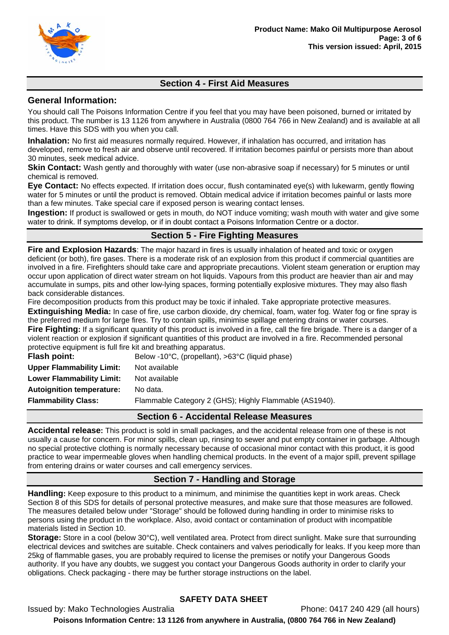

# **Section 4 - First Aid Measures**

### **General Information:**

You should call The Poisons Information Centre if you feel that you may have been poisoned, burned or irritated by this product. The number is 13 1126 from anywhere in Australia (0800 764 766 in New Zealand) and is available at all times. Have this SDS with you when you call.

**Inhalation:** No first aid measures normally required. However, if inhalation has occurred, and irritation has developed, remove to fresh air and observe until recovered. If irritation becomes painful or persists more than about 30 minutes, seek medical advice.

**Skin Contact:** Wash gently and thoroughly with water (use non-abrasive soap if necessary) for 5 minutes or until chemical is removed.

**Eye Contact:** No effects expected. If irritation does occur, flush contaminated eye(s) with lukewarm, gently flowing water for 5 minutes or until the product is removed. Obtain medical advice if irritation becomes painful or lasts more than a few minutes. Take special care if exposed person is wearing contact lenses.

**Ingestion:** If product is swallowed or gets in mouth, do NOT induce vomiting; wash mouth with water and give some water to drink. If symptoms develop, or if in doubt contact a Poisons Information Centre or a doctor.

### **Section 5 - Fire Fighting Measures**

**Fire and Explosion Hazards**: The major hazard in fires is usually inhalation of heated and toxic or oxygen deficient (or both), fire gases. There is a moderate risk of an explosion from this product if commercial quantities are involved in a fire. Firefighters should take care and appropriate precautions. Violent steam generation or eruption may occur upon application of direct water stream on hot liquids. Vapours from this product are heavier than air and may accumulate in sumps, pits and other low-lying spaces, forming potentially explosive mixtures. They may also flash back considerable distances.

Fire decomposition products from this product may be toxic if inhaled. Take appropriate protective measures. **Extinguishing Media:** In case of fire, use carbon dioxide, dry chemical, foam, water fog. Water fog or fine spray is the preferred medium for large fires. Try to contain spills, minimise spillage entering drains or water courses. **Fire Fighting:** If a significant quantity of this product is involved in a fire, call the fire brigade. There is a danger of a violent reaction or explosion if significant quantities of this product are involved in a fire. Recommended personal protective equipment is full fire kit and breathing apparatus.

| Flash point:                     | Below -10°C, (propellant), >63°C (liquid phase)        |
|----------------------------------|--------------------------------------------------------|
| <b>Upper Flammability Limit:</b> | Not available                                          |
| <b>Lower Flammability Limit:</b> | Not available                                          |
| <b>Autoignition temperature:</b> | No data.                                               |
| <b>Flammability Class:</b>       | Flammable Category 2 (GHS); Highly Flammable (AS1940). |
|                                  |                                                        |

### **Section 6 - Accidental Release Measures**

**Accidental release:** This product is sold in small packages, and the accidental release from one of these is not usually a cause for concern. For minor spills, clean up, rinsing to sewer and put empty container in garbage. Although no special protective clothing is normally necessary because of occasional minor contact with this product, it is good practice to wear impermeable gloves when handling chemical products. In the event of a major spill, prevent spillage from entering drains or water courses and call emergency services.

# **Section 7 - Handling and Storage**

**Handling:** Keep exposure to this product to a minimum, and minimise the quantities kept in work areas. Check Section 8 of this SDS for details of personal protective measures, and make sure that those measures are followed. The measures detailed below under "Storage" should be followed during handling in order to minimise risks to persons using the product in the workplace. Also, avoid contact or contamination of product with incompatible materials listed in Section 10.

**Storage:** Store in a cool (below 30°C), well ventilated area. Protect from direct sunlight. Make sure that surrounding electrical devices and switches are suitable. Check containers and valves periodically for leaks. If you keep more than 25kg of flammable gases, you are probably required to license the premises or notify your Dangerous Goods authority. If you have any doubts, we suggest you contact your Dangerous Goods authority in order to clarify your obligations. Check packaging - there may be further storage instructions on the label.

# **SAFETY DATA SHEET**

Issued by: Mako Technologies Australia Phone: 0417 240 429 (all hours) **Poisons Information Centre: 13 1126 from anywhere in Australia, (0800 764 766 in New Zealand)**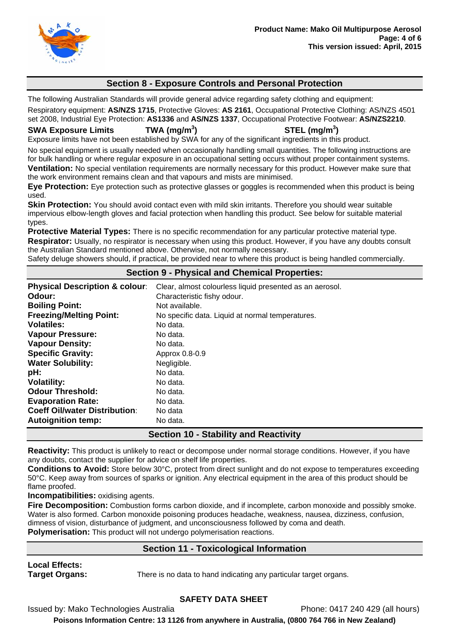

# **Section 8 - Exposure Controls and Personal Protection**

The following Australian Standards will provide general advice regarding safety clothing and equipment:

Respiratory equipment: **AS/NZS 1715**, Protective Gloves: **AS 2161**, Occupational Protective Clothing: AS/NZS 4501 set 2008, Industrial Eye Protection: **AS1336** and **AS/NZS 1337**, Occupational Protective Footwear: **AS/NZS2210**.

#### **SWA Exposure Limits TWA (mg/m<sup>3</sup>**

**) STEL (mg/m<sup>3</sup> )** 

Exposure limits have not been established by SWA for any of the significant ingredients in this product.

No special equipment is usually needed when occasionally handling small quantities. The following instructions are for bulk handling or where regular exposure in an occupational setting occurs without proper containment systems. **Ventilation:** No special ventilation requirements are normally necessary for this product. However make sure that the work environment remains clean and that vapours and mists are minimised.

**Eye Protection:** Eye protection such as protective glasses or goggles is recommended when this product is being used.

**Skin Protection:** You should avoid contact even with mild skin irritants. Therefore you should wear suitable impervious elbow-length gloves and facial protection when handling this product. See below for suitable material types.

**Protective Material Types:** There is no specific recommendation for any particular protective material type.

**Respirator:** Usually, no respirator is necessary when using this product. However, if you have any doubts consult the Australian Standard mentioned above. Otherwise, not normally necessary.

Safety deluge showers should, if practical, be provided near to where this product is being handled commercially.

### **Section 9 - Physical and Chemical Properties:**

| <b>Physical Description &amp; colour:</b> | Clear, almost colourless liquid presented as an aerosol.    |
|-------------------------------------------|-------------------------------------------------------------|
| Odour:                                    | Characteristic fishy odour.                                 |
| <b>Boiling Point:</b>                     | Not available.                                              |
| <b>Freezing/Melting Point:</b>            | No specific data. Liquid at normal temperatures.            |
| <b>Volatiles:</b>                         | No data.                                                    |
| <b>Vapour Pressure:</b>                   | No data.                                                    |
| <b>Vapour Density:</b>                    | No data.                                                    |
| <b>Specific Gravity:</b>                  | Approx 0.8-0.9                                              |
| <b>Water Solubility:</b>                  | Negligible.                                                 |
| pH:                                       | No data.                                                    |
| <b>Volatility:</b>                        | No data.                                                    |
| <b>Odour Threshold:</b>                   | No data.                                                    |
| <b>Evaporation Rate:</b>                  | No data.                                                    |
| <b>Coeff Oil/water Distribution:</b>      | No data                                                     |
| <b>Autoignition temp:</b>                 | No data.                                                    |
|                                           | $\overline{\phantom{a}}$<br>$\overline{\phantom{a}}$<br>- - |

**Section 10 - Stability and Reactivity** 

**Reactivity:** This product is unlikely to react or decompose under normal storage conditions. However, if you have any doubts, contact the supplier for advice on shelf life properties.

**Conditions to Avoid:** Store below 30°C, protect from direct sunlight and do not expose to temperatures exceeding 50°C. Keep away from sources of sparks or ignition. Any electrical equipment in the area of this product should be flame proofed.

**Incompatibilities:** oxidising agents.

**Fire Decomposition:** Combustion forms carbon dioxide, and if incomplete, carbon monoxide and possibly smoke. Water is also formed. Carbon monoxide poisoning produces headache, weakness, nausea, dizziness, confusion, dimness of vision, disturbance of judgment, and unconsciousness followed by coma and death. **Polymerisation:** This product will not undergo polymerisation reactions.

# **Section 11 - Toxicological Information**

**Local Effects:** 

**Target Organs:** There is no data to hand indicating any particular target organs.

# **SAFETY DATA SHEET**

Issued by: Mako Technologies Australia Phone: 0417 240 429 (all hours)

**Poisons Information Centre: 13 1126 from anywhere in Australia, (0800 764 766 in New Zealand)**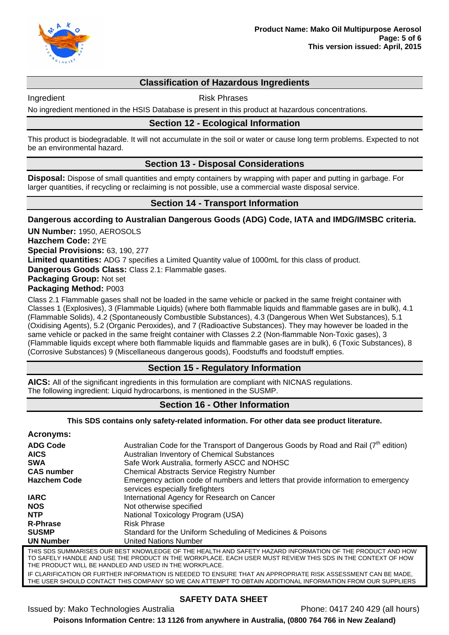

# **Classification of Hazardous Ingredients**

Ingredient **Risk Phrases** 

No ingredient mentioned in the HSIS Database is present in this product at hazardous concentrations.

# **Section 12 - Ecological Information**

This product is biodegradable. It will not accumulate in the soil or water or cause long term problems. Expected to not be an environmental hazard.

### **Section 13 - Disposal Considerations**

**Disposal:** Dispose of small quantities and empty containers by wrapping with paper and putting in garbage. For larger quantities, if recycling or reclaiming is not possible, use a commercial waste disposal service.

### **Section 14 - Transport Information**

**Dangerous according to Australian Dangerous Goods (ADG) Code, IATA and IMDG/IMSBC criteria.** 

**UN Number:** 1950, AEROSOLS **Hazchem Code:** 2YE **Special Provisions:** 63, 190, 277 **Limited quantities:** ADG 7 specifies a Limited Quantity value of 1000mL for this class of product. **Dangerous Goods Class:** Class 2.1: Flammable gases. **Packaging Group:** Not set **Packaging Method:** P003

Class 2.1 Flammable gases shall not be loaded in the same vehicle or packed in the same freight container with Classes 1 (Explosives), 3 (Flammable Liquids) (where both flammable liquids and flammable gases are in bulk), 4.1 (Flammable Solids), 4.2 (Spontaneously Combustible Substances), 4.3 (Dangerous When Wet Substances), 5.1 (Oxidising Agents), 5.2 (Organic Peroxides), and 7 (Radioactive Substances). They may however be loaded in the same vehicle or packed in the same freight container with Classes 2.2 (Non-flammable Non-Toxic gases), 3 (Flammable liquids except where both flammable liquids and flammable gases are in bulk), 6 (Toxic Substances), 8 (Corrosive Substances) 9 (Miscellaneous dangerous goods), Foodstuffs and foodstuff empties.

# **Section 15 - Regulatory Information**

**AICS:** All of the significant ingredients in this formulation are compliant with NICNAS regulations. The following ingredient: Liquid hydrocarbons, is mentioned in the SUSMP.

# **Section 16 - Other Information**

#### **This SDS contains only safety-related information. For other data see product literature.**

| <b>Acronyms:</b>    |                                                                                                                         |
|---------------------|-------------------------------------------------------------------------------------------------------------------------|
| <b>ADG Code</b>     | Australian Code for the Transport of Dangerous Goods by Road and Rail $(7^{in}$ edition)                                |
| <b>AICS</b>         | Australian Inventory of Chemical Substances                                                                             |
| <b>SWA</b>          | Safe Work Australia, formerly ASCC and NOHSC                                                                            |
| <b>CAS number</b>   | <b>Chemical Abstracts Service Registry Number</b>                                                                       |
| <b>Hazchem Code</b> | Emergency action code of numbers and letters that provide information to emergency<br>services especially fire fighters |
| <b>IARC</b>         | International Agency for Research on Cancer                                                                             |
| <b>NOS</b>          | Not otherwise specified                                                                                                 |
| <b>NTP</b>          | National Toxicology Program (USA)                                                                                       |
| <b>R-Phrase</b>     | <b>Risk Phrase</b>                                                                                                      |
| <b>SUSMP</b>        | Standard for the Uniform Scheduling of Medicines & Poisons                                                              |
| <b>UN Number</b>    | United Nations Number                                                                                                   |
|                     | THIS SDS SHIMMARISES OHR REST KNOWLEDGE OF THE HEALTH AND SAFETY HAZARD INFORMATION OF THE RRODHOT AND HOM              |

THIS SDS SUMMARISES OUR BEST KNOWLEDGE OF THE HEALTH AND SAFETY HAZARD INFORMATION OF THE PRODUCT AND HOW TO SAFELY HANDLE AND USE THE PRODUCT IN THE WORKPLACE. EACH USER MUST REVIEW THIS SDS IN THE CONTEXT OF HOW THE PRODUCT WILL BE HANDLED AND USED IN THE WORKPLACE.

IF CLARIFICATION OR FURTHER INFORMATION IS NEEDED TO ENSURE THAT AN APPROPRIATE RISK ASSESSMENT CAN BE MADE, THE USER SHOULD CONTACT THIS COMPANY SO WE CAN ATTEMPT TO OBTAIN ADDITIONAL INFORMATION FROM OUR SUPPLIERS

# **SAFETY DATA SHEET**

Issued by: Mako Technologies Australia Phone: 0417 240 429 (all hours)

**Poisons Information Centre: 13 1126 from anywhere in Australia, (0800 764 766 in New Zealand)**